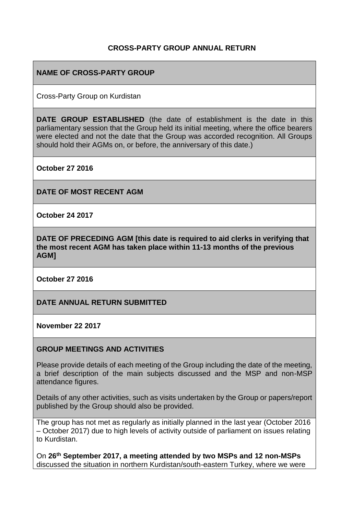## **CROSS-PARTY GROUP ANNUAL RETURN**

#### **NAME OF CROSS-PARTY GROUP**

Cross-Party Group on Kurdistan

**DATE GROUP ESTABLISHED** (the date of establishment is the date in this parliamentary session that the Group held its initial meeting, where the office bearers were elected and not the date that the Group was accorded recognition. All Groups should hold their AGMs on, or before, the anniversary of this date.)

**October 27 2016**

**DATE OF MOST RECENT AGM**

**October 24 2017**

**DATE OF PRECEDING AGM [this date is required to aid clerks in verifying that the most recent AGM has taken place within 11-13 months of the previous AGM]**

**October 27 2016**

**DATE ANNUAL RETURN SUBMITTED**

**November 22 2017**

#### **GROUP MEETINGS AND ACTIVITIES**

Please provide details of each meeting of the Group including the date of the meeting, a brief description of the main subjects discussed and the MSP and non-MSP attendance figures.

Details of any other activities, such as visits undertaken by the Group or papers/report published by the Group should also be provided.

The group has not met as regularly as initially planned in the last year (October 2016 – October 2017) due to high levels of activity outside of parliament on issues relating to Kurdistan.

On **26th September 2017, a meeting attended by two MSPs and 12 non-MSPs** discussed the situation in northern Kurdistan/south-eastern Turkey, where we were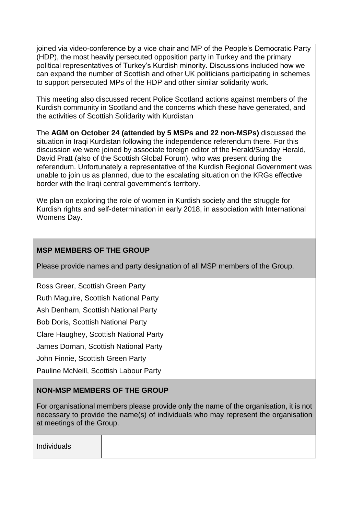joined via video-conference by a vice chair and MP of the People's Democratic Party (HDP), the most heavily persecuted opposition party in Turkey and the primary political representatives of Turkey's Kurdish minority. Discussions included how we can expand the number of Scottish and other UK politicians participating in schemes to support persecuted MPs of the HDP and other similar solidarity work.

This meeting also discussed recent Police Scotland actions against members of the Kurdish community in Scotland and the concerns which these have generated, and the activities of Scottish Solidarity with Kurdistan

The **AGM on October 24 (attended by 5 MSPs and 22 non-MSPs)** discussed the situation in Iraqi Kurdistan following the independence referendum there. For this discussion we were joined by associate foreign editor of the Herald/Sunday Herald, David Pratt (also of the Scottish Global Forum), who was present during the referendum. Unfortunately a representative of the Kurdish Regional Government was unable to join us as planned, due to the escalating situation on the KRGs effective border with the Iraqi central government's territory.

We plan on exploring the role of women in Kurdish society and the struggle for Kurdish rights and self-determination in early 2018, in association with International Womens Day.

## **MSP MEMBERS OF THE GROUP**

Please provide names and party designation of all MSP members of the Group.

Ross Greer, Scottish Green Party

Ruth Maguire, Scottish National Party

Ash Denham, Scottish National Party

Bob Doris, Scottish National Party

Clare Haughey, Scottish National Party

James Dornan, Scottish National Party

John Finnie, Scottish Green Party

Pauline McNeill, Scottish Labour Party

# **NON-MSP MEMBERS OF THE GROUP**

For organisational members please provide only the name of the organisation, it is not necessary to provide the name(s) of individuals who may represent the organisation at meetings of the Group.

| Individuals |  |  |  |
|-------------|--|--|--|
|-------------|--|--|--|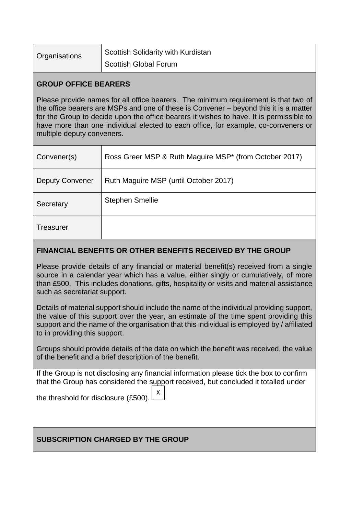| Organisations | Scottish Solidarity with Kurdistan |
|---------------|------------------------------------|
|               | Scottish Global Forum              |

## **GROUP OFFICE BEARERS**

Please provide names for all office bearers. The minimum requirement is that two of the office bearers are MSPs and one of these is Convener – beyond this it is a matter for the Group to decide upon the office bearers it wishes to have. It is permissible to have more than one individual elected to each office, for example, co-conveners or multiple deputy conveners.

| Convener(s)            | Ross Greer MSP & Ruth Maguire MSP* (from October 2017) |
|------------------------|--------------------------------------------------------|
| <b>Deputy Convener</b> | Ruth Maguire MSP (until October 2017)                  |
| Secretary              | <b>Stephen Smellie</b>                                 |
| Treasurer              |                                                        |

# **FINANCIAL BENEFITS OR OTHER BENEFITS RECEIVED BY THE GROUP**

Please provide details of any financial or material benefit(s) received from a single source in a calendar year which has a value, either singly or cumulatively, of more than £500. This includes donations, gifts, hospitality or visits and material assistance such as secretariat support.

Details of material support should include the name of the individual providing support, the value of this support over the year, an estimate of the time spent providing this support and the name of the organisation that this individual is employed by / affiliated to in providing this support.

Groups should provide details of the date on which the benefit was received, the value of the benefit and a brief description of the benefit.

If the Group is not disclosing any financial information please tick the box to confirm that the Group has considered the support received, but concluded it totalled under

the threshold for disclosure (£500). X <sup>z</sup>

# **SUBSCRIPTION CHARGED BY THE GROUP**